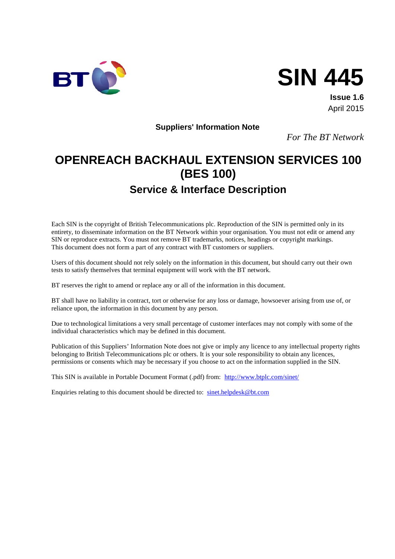



**Issue 1.6** April 2015

**Suppliers' Information Note** 

*For The BT Network*

# **OPENREACH BACKHAUL EXTENSION SERVICES 100 (BES 100)**

# **Service & Interface Description**

Each SIN is the copyright of British Telecommunications plc. Reproduction of the SIN is permitted only in its entirety, to disseminate information on the BT Network within your organisation. You must not edit or amend any SIN or reproduce extracts. You must not remove BT trademarks, notices, headings or copyright markings. This document does not form a part of any contract with BT customers or suppliers.

Users of this document should not rely solely on the information in this document, but should carry out their own tests to satisfy themselves that terminal equipment will work with the BT network.

BT reserves the right to amend or replace any or all of the information in this document.

BT shall have no liability in contract, tort or otherwise for any loss or damage, howsoever arising from use of, or reliance upon, the information in this document by any person.

Due to technological limitations a very small percentage of customer interfaces may not comply with some of the individual characteristics which may be defined in this document.

Publication of this Suppliers' Information Note does not give or imply any licence to any intellectual property rights belonging to British Telecommunications plc or others. It is your sole responsibility to obtain any licences, permissions or consents which may be necessary if you choose to act on the information supplied in the SIN.

This SIN is available in Portable Document Format (.pdf) from: <http://www.btplc.com/sinet/>

Enquiries relating to this document should be directed to: [sinet.helpdesk@bt.com](mailto:sinet.helpdesk@bt.com)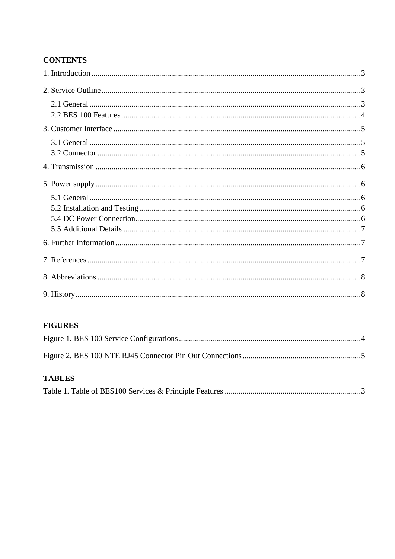### **CONTENTS**

### **FIGURES**

### **TABLES**

|--|--|--|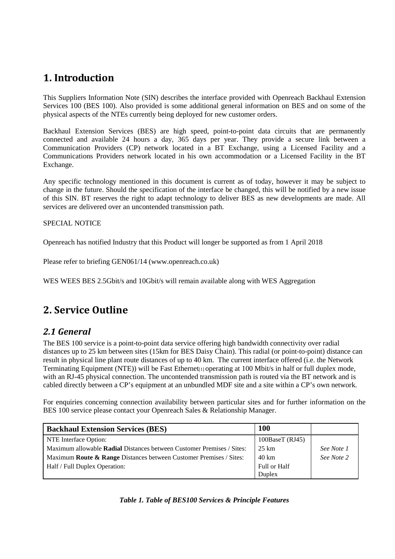### <span id="page-2-0"></span>**1. Introduction**

This Suppliers Information Note (SIN) describes the interface provided with Openreach Backhaul Extension Services 100 (BES 100). Also provided is some additional general information on BES and on some of the physical aspects of the NTEs currently being deployed for new customer orders.

Backhaul Extension Services (BES) are high speed, point-to-point data circuits that are permanently connected and available 24 hours a day, 365 days per year. They provide a secure link between a Communication Providers (CP) network located in a BT Exchange, using a Licensed Facility and a Communications Providers network located in his own accommodation or a Licensed Facility in the BT Exchange.

Any specific technology mentioned in this document is current as of today, however it may be subject to change in the future. Should the specification of the interface be changed, this will be notified by a new issue of this SIN. BT reserves the right to adapt technology to deliver BES as new developments are made. All services are delivered over an uncontended transmission path.

#### SPECIAL NOTICE

Openreach has notified Industry that this Product will longer be supported as from 1 April 2018

Please refer to briefing GEN061/14 (www.openreach.co.uk)

WES WEES BES 2.5Gbit/s and 10Gbit/s will remain available along with WES Aggregation

# <span id="page-2-1"></span>**2. Service Outline**

### <span id="page-2-2"></span>*2.1 General*

The BES 100 service is a point-to-point data service offering high bandwidth connectivity over radial distances up to 25 km between sites (15km for BES Daisy Chain). This radial (or point-to-point) distance can result in physical line plant route distances of up to 40 km. The current interface offered (i.e. the Network Terminating Equipment (NTE)) will be Fast Ethernet<sub>[1]</sub> operating at 100 Mbit/s in half or full duplex mode, with an RJ-45 physical connection. The uncontended transmission path is routed via the BT network and is cabled directly between a CP's equipment at an unbundled MDF site and a site within a CP's own network.

For enquiries concerning connection availability between particular sites and for further information on the BES 100 service please contact your Openreach Sales & Relationship Manager.

<span id="page-2-3"></span>

| <b>Backhaul Extension Services (BES)</b>                                      | <b>100</b>      |            |
|-------------------------------------------------------------------------------|-----------------|------------|
| NTE Interface Option:                                                         | 100BaseT (RJ45) |            |
| Maximum allowable <b>Radial</b> Distances between Customer Premises / Sites:  | 25 km           | See Note 1 |
| Maximum <b>Route &amp; Range</b> Distances between Customer Premises / Sites: | 40 km           | See Note 2 |
| Half / Full Duplex Operation:                                                 | Full or Half    |            |
|                                                                               | Duplex          |            |

*Table 1. Table of BES100 Services & Principle Features*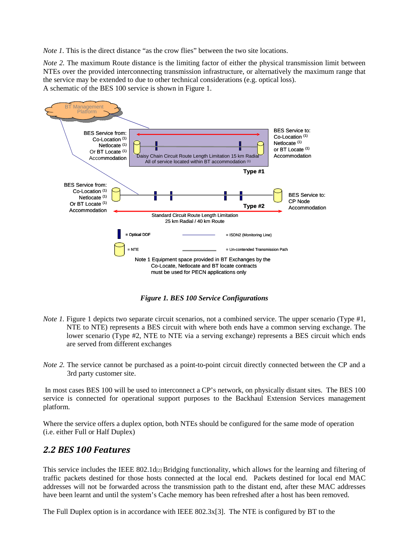*Note 1.* This is the direct distance "as the crow flies" between the two site locations.

*Note 2.* The maximum Route distance is the limiting factor of either the physical transmission limit between NTEs over the provided interconnecting transmission infrastructure, or alternatively the maximum range that the service may be extended to due to other technical considerations (e.g. optical loss). A schematic of the BES 100 service is shown in Figure 1.



*Figure 1. BES 100 Service Configurations*

- <span id="page-3-1"></span>*Note 1.* Figure 1 depicts two separate circuit scenarios, not a combined service. The upper scenario (Type #1, NTE to NTE) represents a BES circuit with where both ends have a common serving exchange. The lower scenario (Type #2, NTE to NTE via a serving exchange) represents a BES circuit which ends are served from different exchanges
- *Note 2.* The service cannot be purchased as a point-to-point circuit directly connected between the CP and a 3rd party customer site.

In most cases BES 100 will be used to interconnect a CP's network, on physically distant sites. The BES 100 service is connected for operational support purposes to the Backhaul Extension Services management platform.

Where the service offers a duplex option, both NTEs should be configured for the same mode of operation (i.e. either Full or Half Duplex)

#### <span id="page-3-0"></span>*2.2 BES 100 Features*

This service includes the IEEE 802.1d $_{[2]}$  Bridging functionality, which allows for the learning and filtering of traffic packets destined for those hosts connected at the local end. Packets destined for local end MAC addresses will not be forwarded across the transmission path to the distant end, after these MAC addresses have been learnt and until the system's Cache memory has been refreshed after a host has been removed.

The Full Duplex option is in accordance with IEEE 802.3x[3]. The NTE is configured by BT to the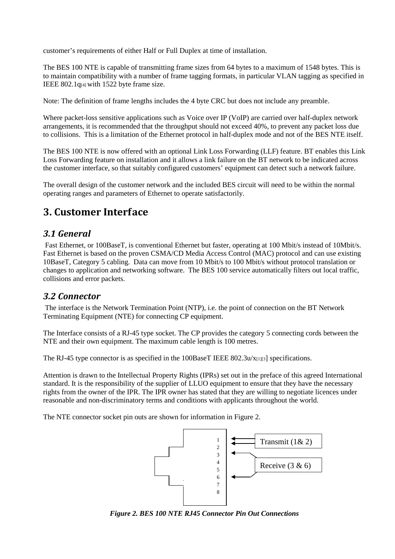customer's requirements of either Half or Full Duplex at time of installation.

The BES 100 NTE is capable of transmitting frame sizes from 64 bytes to a maximum of 1548 bytes. This is to maintain compatibility with a number of frame tagging formats, in particular VLAN tagging as specified in IEEE 802.1q[4] with 1522 byte frame size.

Note: The definition of frame lengths includes the 4 byte CRC but does not include any preamble.

Where packet-loss sensitive applications such as Voice over IP (VoIP) are carried over half-duplex network arrangements, it is recommended that the throughput should not exceed 40%, to prevent any packet loss due to collisions. This is a limitation of the Ethernet protocol in half-duplex mode and not of the BES NTE itself.

The BES 100 NTE is now offered with an optional Link Loss Forwarding (LLF) feature. BT enables this Link Loss Forwarding feature on installation and it allows a link failure on the BT network to be indicated across the customer interface, so that suitably configured customers' equipment can detect such a network failure.

The overall design of the customer network and the included BES circuit will need to be within the normal operating ranges and parameters of Ethernet to operate satisfactorily.

### <span id="page-4-0"></span>**3. Customer Interface**

### <span id="page-4-1"></span>*3.1 General*

Fast Ethernet, or 100BaseT, is conventional Ethernet but faster, operating at 100 Mbit/s instead of 10Mbit/s. Fast Ethernet is based on the proven CSMA/CD Media Access Control (MAC) protocol and can use existing 10BaseT, Category 5 cabling. Data can move from 10 Mbit/s to 100 Mbit/s without protocol translation or changes to application and networking software. The BES 100 service automatically filters out local traffic, collisions and error packets.

### <span id="page-4-2"></span>*3.2 Connector*

The interface is the Network Termination Point (NTP), i.e. the point of connection on the BT Network Terminating Equipment (NTE) for connecting CP equipment.

The Interface consists of a RJ-45 type socket. The CP provides the category 5 connecting cords between the NTE and their own equipment. The maximum cable length is 100 metres.

The RJ-45 type connector is as specified in the 100BaseT IEEE 802.3u/x[1][3] specifications.

Attention is drawn to the Intellectual Property Rights (IPRs) set out in the preface of this agreed International standard. It is the responsibility of the supplier of LLUO equipment to ensure that they have the necessary rights from the owner of the IPR. The IPR owner has stated that they are willing to negotiate licences under reasonable and non-discriminatory terms and conditions with applicants throughout the world.

The NTE connector socket pin outs are shown for information in Figure 2.



<span id="page-4-3"></span>*Figure 2. BES 100 NTE RJ45 Connector Pin Out Connections*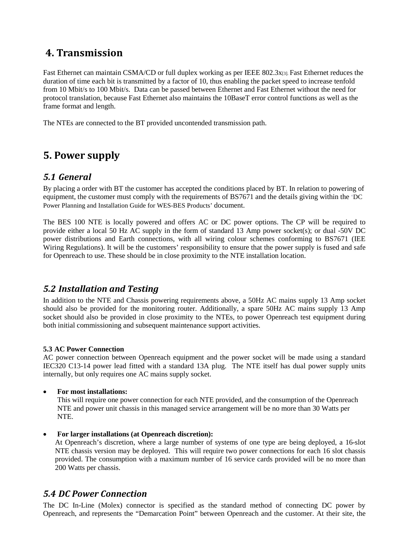## <span id="page-5-0"></span>**4. Transmission**

Fast Ethernet can maintain CSMA/CD or full duplex working as per IEEE 802.3x[3]. Fast Ethernet reduces the duration of time each bit is transmitted by a factor of 10, thus enabling the packet speed to increase tenfold from 10 Mbit/s to 100 Mbit/s. Data can be passed between Ethernet and Fast Ethernet without the need for protocol translation, because Fast Ethernet also maintains the 10BaseT error control functions as well as the frame format and length.

The NTEs are connected to the BT provided uncontended transmission path.

# <span id="page-5-1"></span>**5. Power supply**

### <span id="page-5-2"></span>*5.1 General*

By placing a order with BT the customer has accepted the conditions placed by BT. In relation to powering of equipment, the customer must comply with the requirements of BS7671 and the details giving within the 'DC Power Planning and Installation Guide for WES-BES Products' document.

The BES 100 NTE is locally powered and offers AC or DC power options. The CP will be required to provide either a local 50 Hz AC supply in the form of standard 13 Amp power socket(s); or dual -50V DC power distributions and Earth connections, with all wiring colour schemes conforming to BS7671 (IEE Wiring Regulations). It will be the customers' responsibility to ensure that the power supply is fused and safe for Openreach to use. These should be in close proximity to the NTE installation location.

### <span id="page-5-3"></span>*5.2 Installation and Testing*

In addition to the NTE and Chassis powering requirements above, a 50Hz AC mains supply 13 Amp socket should also be provided for the monitoring router. Additionally, a spare 50Hz AC mains supply 13 Amp socket should also be provided in close proximity to the NTEs, to power Openreach test equipment during both initial commissioning and subsequent maintenance support activities.

#### **5.3 AC Power Connection**

AC power connection between Openreach equipment and the power socket will be made using a standard IEC320 C13-14 power lead fitted with a standard 13A plug. The NTE itself has dual power supply units internally, but only requires one AC mains supply socket.

#### • **For most installations:**

This will require one power connection for each NTE provided, and the consumption of the Openreach NTE and power unit chassis in this managed service arrangement will be no more than 30 Watts per NTE.

#### • **For larger installations (at Openreach discretion):**

At Openreach's discretion, where a large number of systems of one type are being deployed, a 16-slot NTE chassis version may be deployed. This will require two power connections for each 16 slot chassis provided. The consumption with a maximum number of 16 service cards provided will be no more than 200 Watts per chassis.

### <span id="page-5-4"></span>*5.4 DC Power Connection*

The DC In-Line (Molex) connector is specified as the standard method of connecting DC power by Openreach, and represents the "Demarcation Point" between Openreach and the customer. At their site, the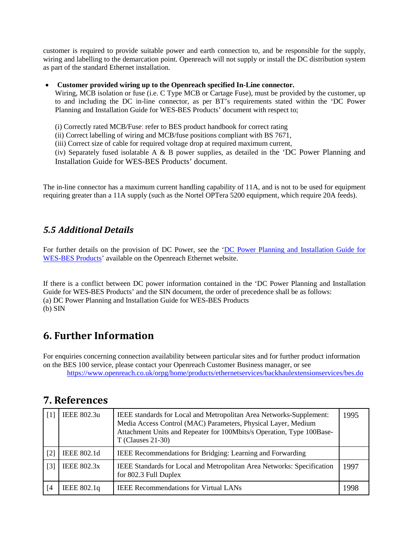customer is required to provide suitable power and earth connection to, and be responsible for the supply, wiring and labelling to the demarcation point. Openreach will not supply or install the DC distribution system as part of the standard Ethernet installation.

#### • **Customer provided wiring up to the Openreach specified In-Line connector.**

Wiring, MCB isolation or fuse (i.e. C Type MCB or Cartage Fuse), must be provided by the customer, up to and including the DC in-line connector, as per BT's requirements stated within the 'DC Power Planning and Installation Guide for WES-BES Products' document with respect to;

(i) Correctly rated MCB/Fuse: refer to BES product handbook for correct rating

(ii) Correct labelling of wiring and MCB/fuse positions compliant with BS 7671,

(iii) Correct size of cable for required voltage drop at required maximum current,

(iv) Separately fused isolatable A  $\&$  B power supplies, as detailed in the 'DC Power Planning and Installation Guide for WES-BES Products' document.

The in-line connector has a maximum current handling capability of 11A, and is not to be used for equipment requiring greater than a 11A supply (such as the Nortel OPTera 5200 equipment, which require 20A feeds).

### <span id="page-6-0"></span>*5.5 Additional Details*

For further details on the provision of DC Power, see the 'DC Power Planning and Installation Guide for [WES-BES Products'](https://www.openreach.co.uk/orpg/home/newlogin.do?smauthreason=0&target=http%3A%2F%2Fwww.openreach.co.uk%2Forpg%2Fcustomerzone%2Fproducts%2Fethernetservices%2Fethernetaccessdirect%2Fdescription%2Fsupplementaryinformation%2Fsupplementaryinfo.do&fromMasterHead=1) available on the Openreach Ethernet website.

If there is a conflict between DC power information contained in the 'DC Power Planning and Installation Guide for WES-BES Products' and the SIN document, the order of precedence shall be as follows: (a) DC Power Planning and Installation Guide for WES-BES Products (b) SIN

## <span id="page-6-1"></span>**6. Further Information**

For enquiries concerning connection availability between particular sites and for further product information on the BES 100 service, please contact your Openreach Customer Business manager, or see <https://www.openreach.co.uk/orpg/home/products/ethernetservices/backhaulextensionservices/bes.do>

### <span id="page-6-2"></span>**7. References**

| $[1]$ | IEEE 802.3u        | IEEE standards for Local and Metropolitan Area Networks-Supplement:<br>Media Access Control (MAC) Parameters, Physical Layer, Medium<br>Attachment Units and Repeater for 100Mbits/s Operation, Type 100Base-<br>$T$ (Clauses 21-30) | 1995 |
|-------|--------------------|--------------------------------------------------------------------------------------------------------------------------------------------------------------------------------------------------------------------------------------|------|
| $[2]$ | IEEE 802.1d        | IEEE Recommendations for Bridging: Learning and Forwarding                                                                                                                                                                           |      |
| $[3]$ | <b>IEEE 802.3x</b> | IEEE Standards for Local and Metropolitan Area Networks: Specification<br>for 802.3 Full Duplex                                                                                                                                      | 1997 |
| [4    | IEEE 802.1q        | <b>IEEE Recommendations for Virtual LANs</b>                                                                                                                                                                                         | 1998 |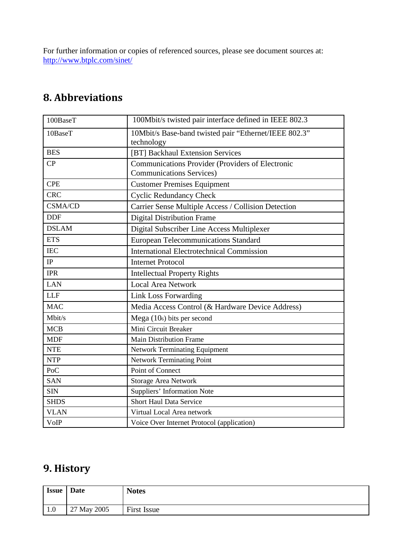For further information or copies of referenced sources, please see document sources at: <http://www.btplc.com/sinet/>

# <span id="page-7-0"></span>**8. Abbreviations**

| 100BaseT       | 100Mbit/s twisted pair interface defined in IEEE 802.3              |
|----------------|---------------------------------------------------------------------|
| 10BaseT        | 10Mbit/s Base-band twisted pair "Ethernet/IEEE 802.3"<br>technology |
| <b>BES</b>     | [BT] Backhaul Extension Services                                    |
| CP             | Communications Provider (Providers of Electronic                    |
|                | <b>Communications Services)</b>                                     |
| <b>CPE</b>     | <b>Customer Premises Equipment</b>                                  |
| <b>CRC</b>     | <b>Cyclic Redundancy Check</b>                                      |
| <b>CSMA/CD</b> | Carrier Sense Multiple Access / Collision Detection                 |
| <b>DDF</b>     | <b>Digital Distribution Frame</b>                                   |
| <b>DSLAM</b>   | Digital Subscriber Line Access Multiplexer                          |
| <b>ETS</b>     | <b>European Telecommunications Standard</b>                         |
| <b>IEC</b>     | <b>International Electrotechnical Commission</b>                    |
| IP             | <b>Internet Protocol</b>                                            |
| <b>IPR</b>     | <b>Intellectual Property Rights</b>                                 |
| <b>LAN</b>     | <b>Local Area Network</b>                                           |
| <b>LLF</b>     | <b>Link Loss Forwarding</b>                                         |
| <b>MAC</b>     | Media Access Control (& Hardware Device Address)                    |
| Mbit/s         | Mega $(106)$ bits per second                                        |
| <b>MCB</b>     | Mini Circuit Breaker                                                |
| <b>MDF</b>     | <b>Main Distribution Frame</b>                                      |
| <b>NTE</b>     | <b>Network Terminating Equipment</b>                                |
| <b>NTP</b>     | <b>Network Terminating Point</b>                                    |
| PoC            | Point of Connect                                                    |
| <b>SAN</b>     | Storage Area Network                                                |
| <b>SIN</b>     | Suppliers' Information Note                                         |
| <b>SHDS</b>    | <b>Short Haul Data Service</b>                                      |
| <b>VLAN</b>    | Virtual Local Area network                                          |
| VoIP           | Voice Over Internet Protocol (application)                          |

# <span id="page-7-1"></span>**9. History**

| <b>Issue</b> | <b>Date</b> | <b>Notes</b>       |
|--------------|-------------|--------------------|
| $\vert$ 1.0  | 27 May 2005 | <b>First Issue</b> |